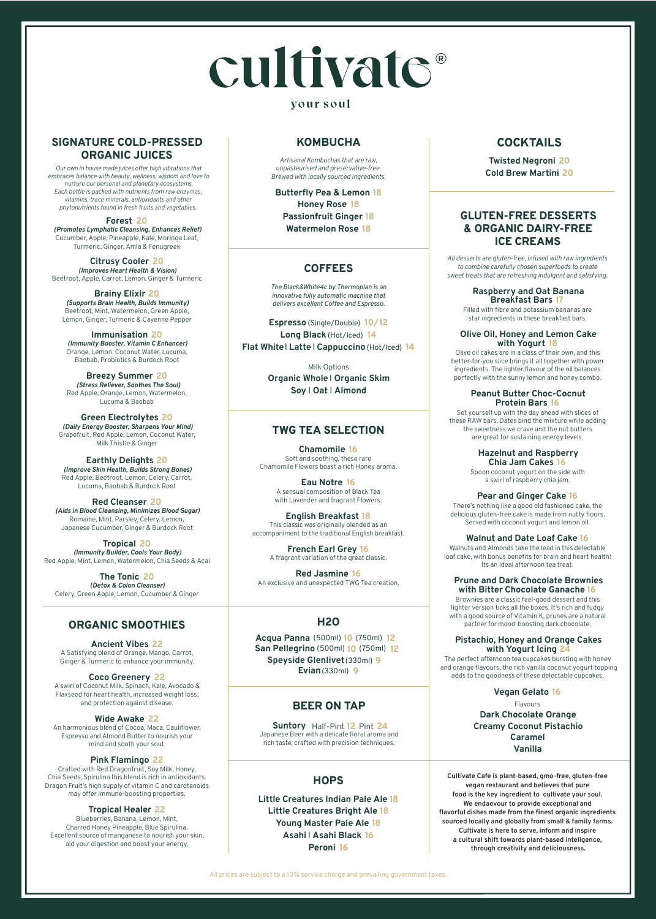# cultivate®

### vour soul

All prices are subject to a 10% service charge and prevailing government taxes.

**Little Creatures Indian Pale Ale 18 Little Creatures Bright Ale 18 Young Master Pale Ale 18 Asahi** I **Asahi Black 16 Peroni 16**

# **H2O**

**Forest 20** *(Promotes Lymphatic Cleansing, Enhances Relief)* Cucumber, Apple, Pineapple, Kale, Moringa Leaf, Turmeric, Ginger, Amla & Fenugreek

**Citrusy Cooler 20** *(Improves Heart Health & Vision)* Beetroot, Apple, Carrot, Lemon, Ginger & Turmeric

**Brainy Elixir 20** *(Supports Brain Health, Builds Immunity)* Beetroot, Mint, Watermelon, Green Apple, Lemon, Ginger, Turmeric & Cayenne Pepper

**Immunisation 20** *(Immunity Booster, Vitamin C Enhancer)* Orange, Lemon, Coconut Water, Lucuma, Baobab, Probiotics & Burdock Root

**Breezy Summer 20** *(Stress Reliever, Soothes The Soul)* Red Apple, Orange, Lemon, Watermelon, Lucuma & Baobab

**Green Electrolytes 20** *(Daily Energy Booster, Sharpens Your Mind)* Grapefruit, Red Apple, Lemon, Coconut Water, Milk Thistle & Ginger

**Earthly Delights 20** *(Improve Skin Health, Builds Strong Bones)* Red Apple, Beetroot, Lemon, Celery, Carrot, Lucuma, Baobab & Burdock Root

**Red Cleanser 20** *(Aids in Blood Cleansing, Minimizes Blood Sugar)* Romaine, Mint, Parsley, Celery, Lemon, Japanese Cucumber, Ginger & Burdock Root

**Tropical 20** *(Immunity Builder, Cools Your Body)* Red Apple, Mint, Lemon, Watermelon, Chia Seeds & Acai

**The Tonic 20** *(Detox & Colon Cleanser)* Celery, Green Apple, Lemon, Cucumber & Ginger

**Ancient Vibes 22** A Satisfying blend of Orange, Mango, Carrot, Ginger & Turmeric to enhance your immunity.

**Coco Greenery 22**

A swirl of Coconut Milk, Spinach, Kale, Avocado & Flaxseed for heart health, increased weight loss, and protection against disease.

#### **Wide Awake 22**

An harmonious blend of Cocoa, Maca, Cauliflower, Espresso and Almond Butter to nourish your mind and sooth your soul.

#### **Pink Flamingo 22**

Crafted with Red Dragonfruit, Soy Milk, Honey, Chia Seeds, Spirulina this blend is rich in antioxidants. Dragon Fruit's high supply of vitamin C and carotenoids may offer immune-boosting properties.

#### **Tropical Healer 22**

Blueberries, Banana, Lemon, Mint, Charred Honey Pineapple, Blue Spirulina. Excellent source of manganese to nourish your skin, aid your digestion and boost your energy.

# **ORGANIC SMOOTHIES**

## **SIGNATURE COLD-PRESSED ORGANIC JUICES**

**Chamomile 16** Soft and soothing, these rare Chamomile Flowers boast a rich Honey aroma.

> **Eau Notre 16** A sensual composition of Black Tea with Lavender and fragrant Flowers.

**English Breakfast 18** This classic was originally blended as an accompaniment to the traditional English breakfast.

> **French Earl Grey 16** A fragrant variation of the great classic.

**Red Jasmine 16** An exclusive and unexpected TWG Tea creation.

# **TWG TEA SELECTION**

**Suntory**  Half-Pint **12** Pint **24** Japanese Beer with a delicate floral aroma and rich taste, crafted with precision techniques.

# **BEER ON TAP**

## **HOPS**

**Twisted Negroni 20 Cold Brew Martini 20**

# **COCKTAILS**

*Artisanal Kombuchas that are raw, unpasteurised and preservative-free. Brewed with locally sourced ingredients.*

**Butterfly Pea & Lemon 18 Honey Rose 18 Passionfruit Ginger 18 Watermelon Rose 18**

# **KOMBUCHA**

**Acqua Panna** (750ml) **12** (500ml) **10 San Pellegrino** (500ml) **10** (750ml) **12Evian**(330ml) **9 Speyside Glenlivet**(330ml) **9**

*The Black&White4c by Thermoplan is an innovative fully automatic machine that delivers excellent Coffee and Espresso.*

**Espresso** (Single/Double) **10/12 Long Black** (Hot/Iced) **14 Flat White**I **Latte** I **Cappuccino**(Hot/Iced) **14**

> Milk Options **Organic Whole**I **Organic Skim Soy** I **Oat** I **Almond**

# **COFFEES**

# **GLUTEN-FREE DESSERTS & ORGANIC DAIRY-FREE ICE CREAMS**

*All desserts are gluten-free, infused with raw ingredients to combine carefully chosen superfoods to create sweet treats that are refreshing indulgent and satisfying.* 

> **Raspberry and Oat Banana Breakfast Bars 17**

Filled with fibre and potassium bananas are star ingredients in these breakfast bars.

#### **Olive Oil, Honey and Lemon Cake with Yogurt 18**

Olive oil cakes are in a class of their own, and this better-for-you slice brings it all together with power ingredients. The lighter flavour of the oil balances perfectly with the sunny lemon and honey combo.

#### **Peanut Butter Choc-Cocnut Protein Bars 16**

Set yourself up with the day ahead with slices of these RAW bars. Dates bind the mixture while adding the sweetness we crave and the nut butters are great for sustaining energy levels.

#### **Hazelnut and Raspberry Chia Jam Cakes 16**

Spoon coconut yogurt on the side with a swirl of raspberry chia jam.

**Pear and Ginger Cake 16** There's nothing like a good old fashioned cake, the delicious gluten-free cake is made from nutty flours. Served with coconut yogurt and lemon oil.

**Walnut and Date Loaf Cake 16** Walnuts and Almonds take the lead in this delectable loaf cake, with bonus benefits for brain and heart health! Its an ideal afternoon tea treat.

#### **Prune and Dark Chocolate Brownies with Bitter Chocolate Ganache 16**

Brownies are a classic feel-good dessert and this lighter version ticks all the boxes. It's rich and fudgy with a good source of Vitamin K, prunes are a natural partner for mood-boosting dark chocolate.

**Pistachio, Honey and Orange Cakes with Yogurt Icing 24**

The perfect afternoon tea cupcakes bursting with honey and orange flavours, the rich vanilla coconut yogurt topping adds to the goodness of these delectable cupcakes.

#### **Vegan Gelato 16**

Flavours **Dark Chocolate Orange Creamy Coconut Pistachio Caramel Vanilla**

*Our own in house made juices offer high vibrations that embraces balance with beauty, wellness, wisdom and love to nurture our personal and planetary ecosystems. Each bottle is packed with nutrients from raw enzymes, vitamins, trace minerals, antioxidants and other phytonutrients found in fresh fruits and vegetables.*

> **Cultivate Cafe is plant-based, gmo-free, gluten-free vegan restaurant and believes that pure food is the key ingredient to cultivate your soul. We endaevour to provide exceptional and flavorful dishes made from the finest organic ingredients sourced locally and globally from small & family farms. Cultivate is here to serve, inform and inspire a cultural shift towards plant-based intellgence, through creativity and deliciousness.**